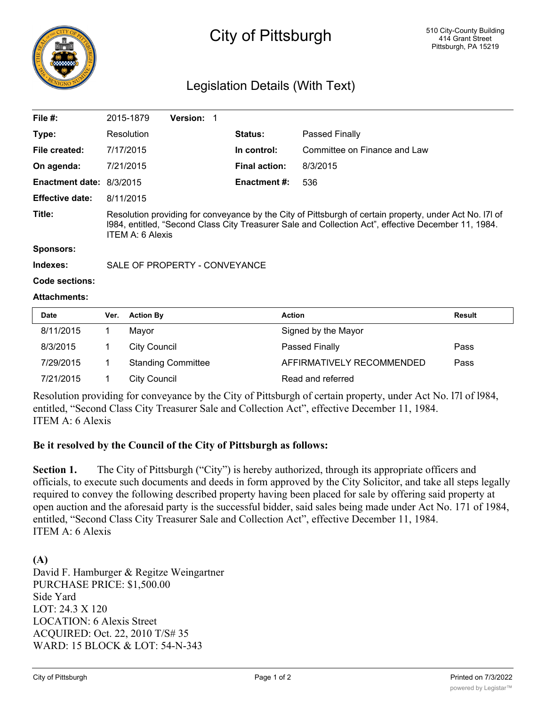

# City of Pittsburgh

# Legislation Details (With Text)

| File $#$ :                      | 2015-1879                                                                                                                                                                                                                                 | <b>Version: 1</b> |  |                      |                              |  |  |
|---------------------------------|-------------------------------------------------------------------------------------------------------------------------------------------------------------------------------------------------------------------------------------------|-------------------|--|----------------------|------------------------------|--|--|
| Type:                           | Resolution                                                                                                                                                                                                                                |                   |  | <b>Status:</b>       | Passed Finally               |  |  |
| File created:                   | 7/17/2015                                                                                                                                                                                                                                 |                   |  | In control:          | Committee on Finance and Law |  |  |
| On agenda:                      | 7/21/2015                                                                                                                                                                                                                                 |                   |  | <b>Final action:</b> | 8/3/2015                     |  |  |
| <b>Enactment date: 8/3/2015</b> |                                                                                                                                                                                                                                           |                   |  | <b>Enactment #:</b>  | 536                          |  |  |
| <b>Effective date:</b>          | 8/11/2015                                                                                                                                                                                                                                 |                   |  |                      |                              |  |  |
| Title:                          | Resolution providing for conveyance by the City of Pittsburgh of certain property, under Act No. I7I of<br>1984, entitled, "Second Class City Treasurer Sale and Collection Act", effective December 11, 1984.<br><b>ITEM A: 6 Alexis</b> |                   |  |                      |                              |  |  |
| Sponsors:                       |                                                                                                                                                                                                                                           |                   |  |                      |                              |  |  |

**Indexes:** SALE OF PROPERTY - CONVEYANCE

```
Code sections:
```
#### **Attachments:**

| <b>Date</b> | Ver. | <b>Action By</b>          | <b>Action</b>             | <b>Result</b> |
|-------------|------|---------------------------|---------------------------|---------------|
| 8/11/2015   |      | Mavor                     | Signed by the Mayor       |               |
| 8/3/2015    |      | City Council              | Passed Finally            | Pass          |
| 7/29/2015   |      | <b>Standing Committee</b> | AFFIRMATIVELY RECOMMENDED | Pass          |
| 7/21/2015   |      | <b>City Council</b>       | Read and referred         |               |

Resolution providing for conveyance by the City of Pittsburgh of certain property, under Act No. l7l of l984, entitled, "Second Class City Treasurer Sale and Collection Act", effective December 11, 1984. ITEM A: 6 Alexis

#### **Be it resolved by the Council of the City of Pittsburgh as follows:**

Section 1. The City of Pittsburgh ("City") is hereby authorized, through its appropriate officers and officials, to execute such documents and deeds in form approved by the City Solicitor, and take all steps legally required to convey the following described property having been placed for sale by offering said property at open auction and the aforesaid party is the successful bidder, said sales being made under Act No. 171 of 1984, entitled, "Second Class City Treasurer Sale and Collection Act", effective December 11, 1984. ITEM A: 6 Alexis

**(A)** David F. Hamburger & Regitze Weingartner PURCHASE PRICE: \$1,500.00 Side Yard LOT: 24.3 X 120 LOCATION: 6 Alexis Street ACQUIRED: Oct. 22, 2010 T/S# 35 WARD: 15 BLOCK & LOT: 54-N-343